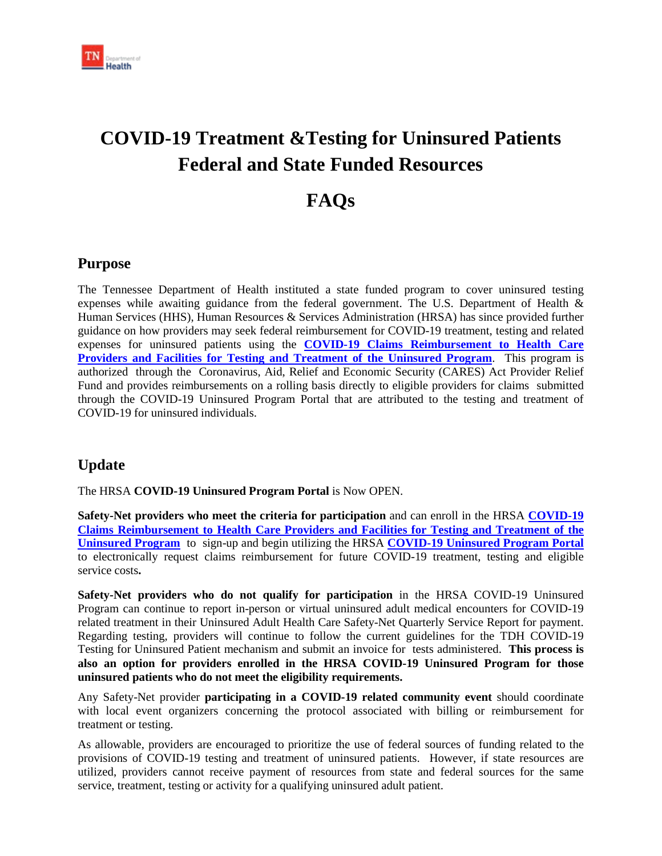

# **COVID-19 Treatment &Testing for Uninsured Patients Federal and State Funded Resources**

## **FAQs**

### **Purpose**

The Tennessee Department of Health instituted a state funded program to cover uninsured testing expenses while awaiting guidance from the federal government. The U.S. Department of Health & Human Services (HHS), Human Resources & Services Administration (HRSA) has since provided further guidance on how providers may seek federal reimbursement for COVID-19 treatment, testing and related expenses for uninsured patients using the **[COVID-19 Claims Reimbursement to Health Care](https://www.hrsa.gov/coviduninsuredclaim)  [Providers and Facilities for Testing and Treatment of the Uninsured Program](https://www.hrsa.gov/coviduninsuredclaim)**. This program is authorized through the Coronavirus, Aid, Relief and Economic Security (CARES) Act Provider Relief Fund and provides reimbursements on a rolling basis directly to eligible providers for claims submitted through the COVID-19 Uninsured Program Portal that are attributed to the testing and treatment of COVID-19 for uninsured individuals.

## **Update**

The HRSA **COVID-19 Uninsured Program Portal** is Now OPEN.

**Safety-Net providers who meet the criteria for participation** and can enroll in the HRSA **[COVID-19](https://www.hrsa.gov/coviduninsuredclaim)  [Claims Reimbursement to Health Care Providers and Facilities for Testing and Treatment of the](https://www.hrsa.gov/coviduninsuredclaim)  [Uninsured](https://www.hrsa.gov/coviduninsuredclaim) Program** to sign-up and begin utilizing the HRSA **[COVID-19 Uninsured Program Portal](https://www.hrsa.gov/coviduninsuredclaim)** to electronically request claims reimbursement for future COVID-19 treatment, testing and eligible service costs**.** 

**Safety-Net providers who do not qualify for participation** in the HRSA COVID-19 Uninsured Program can continue to report in-person or virtual uninsured adult medical encounters for COVID-19 related treatment in their Uninsured Adult Health Care Safety-Net Quarterly Service Report for payment. Regarding testing, providers will continue to follow the current guidelines for the TDH COVID-19 Testing for Uninsured Patient mechanism and submit an invoice for tests administered. **This process is also an option for providers enrolled in the HRSA COVID-19 Uninsured Program for those uninsured patients who do not meet the eligibility requirements.**

Any Safety-Net provider **participating in a COVID-19 related community event** should coordinate with local event organizers concerning the protocol associated with billing or reimbursement for treatment or testing.

As allowable, providers are encouraged to prioritize the use of federal sources of funding related to the provisions of COVID-19 testing and treatment of uninsured patients. However, if state resources are utilized, providers cannot receive payment of resources from state and federal sources for the same service, treatment, testing or activity for a qualifying uninsured adult patient.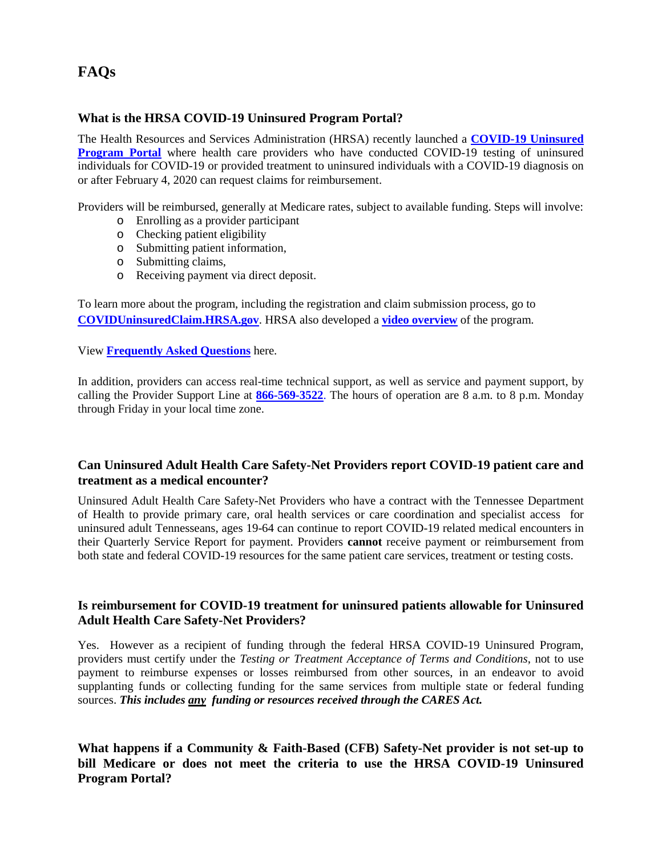## **FAQs**

#### **What is the HRSA COVID-19 Uninsured Program Portal?**

The Health Resources and Services Administration (HRSA) recently launched a **[COVID-19 Uninsured](https://urldefense.com/v3/__https:/coviduninsuredclaim.hrsa.gov/__;!!PRtDf9A!9cPaYDauH07bYQYCfcJbz7wTcC0UbbRaP6GYUjhLDP0xL0OoWv0uDkhmqzBie8wc99sg$)  [Program Portal](https://urldefense.com/v3/__https:/coviduninsuredclaim.hrsa.gov/__;!!PRtDf9A!9cPaYDauH07bYQYCfcJbz7wTcC0UbbRaP6GYUjhLDP0xL0OoWv0uDkhmqzBie8wc99sg$)** where health care providers who have conducted COVID-19 testing of uninsured individuals for COVID-19 or provided treatment to uninsured individuals with a COVID-19 diagnosis on or after February 4, 2020 can request claims for reimbursement.

Providers will be reimbursed, generally at Medicare rates, subject to available funding. Steps will involve:

- o Enrolling as a provider participant
- o Checking patient eligibility
- o Submitting patient information,
- o Submitting claims,
- o Receiving payment via direct deposit.

To learn more about the program, including the registration and claim submission process, go to **[COVIDUninsuredClaim.HRSA.gov](https://urldefense.com/v3/__https:/coviduninsuredclaim.hrsa.gov/__;!!PRtDf9A!9cPaYDauH07bYQYCfcJbz7wTcC0UbbRaP6GYUjhLDP0xL0OoWv0uDkhmqzBie8wc99sg$)**. HRSA also developed a **[video overview](https://urldefense.com/v3/__https:/youtu.be/MZZGV9ZN7bk__;!!PRtDf9A!9cPaYDauH07bYQYCfcJbz7wTcC0UbbRaP6GYUjhLDP0xL0OoWv0uDkhmqzBiex9VALLH$)** of the program.

View **[Frequently Asked Questions](https://www.hrsa.gov/coviduninsuredclaim/frequently-asked-questions)** here.

In addition, providers can access real-time technical support, as well as service and payment support, by calling the Provider Support Line at **[866-569-3522](tel:18665693522)**. The hours of operation are 8 a.m. to 8 p.m. Monday through Friday in your local time zone.

#### **Can Uninsured Adult Health Care Safety-Net Providers report COVID-19 patient care and treatment as a medical encounter?**

Uninsured Adult Health Care Safety-Net Providers who have a contract with the Tennessee Department of Health to provide primary care, oral health services or care coordination and specialist access for uninsured adult Tennesseans, ages 19-64 can continue to report COVID-19 related medical encounters in their Quarterly Service Report for payment. Providers **cannot** receive payment or reimbursement from both state and federal COVID-19 resources for the same patient care services, treatment or testing costs.

#### **Is reimbursement for COVID-19 treatment for uninsured patients allowable for Uninsured Adult Health Care Safety-Net Providers?**

Yes. However as a recipient of funding through the federal HRSA COVID-19 Uninsured Program, providers must certify under the *Testing or Treatment Acceptance of Terms and Conditions*, not to use payment to reimburse expenses or losses reimbursed from other sources, in an endeavor to avoid supplanting funds or collecting funding for the same services from multiple state or federal funding sources. *This includes any funding or resources received through the CARES Act.*

**What happens if a Community & Faith-Based (CFB) Safety-Net provider is not set-up to bill Medicare or does not meet the criteria to use the HRSA COVID-19 Uninsured Program Portal?**